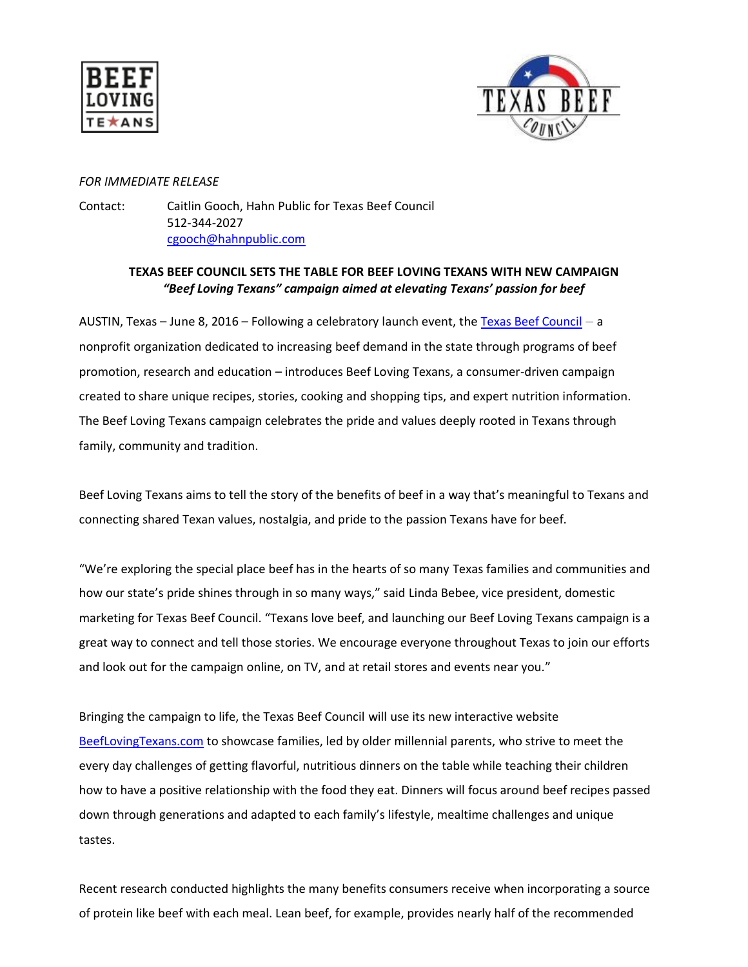



## *FOR IMMEDIATE RELEASE*

Contact: Caitlin Gooch, Hahn Public for Texas Beef Council 512-344-2027 [cgooch@hahnpublic.com](mailto:cgooch@hahnpublic.com)

## **TEXAS BEEF COUNCIL SETS THE TABLE FOR BEEF LOVING TEXANS WITH NEW CAMPAIGN** *"Beef Loving Texans" campaign aimed at elevating Texans' passion for beef*

AUSTIN, Texas – June 8, 2016 – Following a celebratory launch event, th[e Texas Beef Council](http://www.beeflovingtexans.com/) – a nonprofit organization dedicated to increasing beef demand in the state through programs of beef promotion, research and education – introduces Beef Loving Texans, a consumer-driven campaign created to share unique recipes, stories, cooking and shopping tips, and expert nutrition information. The Beef Loving Texans campaign celebrates the pride and values deeply rooted in Texans through family, community and tradition.

Beef Loving Texans aims to tell the story of the benefits of beef in a way that's meaningful to Texans and connecting shared Texan values, nostalgia, and pride to the passion Texans have for beef.

"We're exploring the special place beef has in the hearts of so many Texas families and communities and how our state's pride shines through in so many ways," said Linda Bebee, vice president, domestic marketing for Texas Beef Council. "Texans love beef, and launching our Beef Loving Texans campaign is a great way to connect and tell those stories. We encourage everyone throughout Texas to join our efforts and look out for the campaign online, on TV, and at retail stores and events near you."

Bringing the campaign to life, the Texas Beef Council will use its new interactive website [BeefLovingTexans.com](http://txbeef.org/texas-stories/beef-loving-texans-blog/news) to showcase families, led by older millennial parents, who strive to meet the every day challenges of getting flavorful, nutritious dinners on the table while teaching their children how to have a positive relationship with the food they eat. Dinners will focus around beef recipes passed down through generations and adapted to each family's lifestyle, mealtime challenges and unique tastes.

Recent research conducted highlights the many benefits consumers receive when incorporating a source of protein like beef with each meal. Lean beef, for example, provides nearly half of the recommended